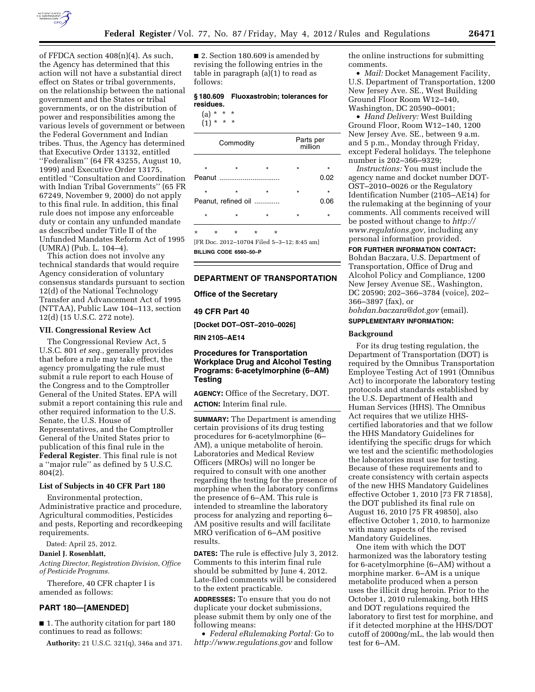

of FFDCA section 408(n)(4). As such, the Agency has determined that this action will not have a substantial direct effect on States or tribal governments, on the relationship between the national government and the States or tribal governments, or on the distribution of power and responsibilities among the various levels of government or between the Federal Government and Indian tribes. Thus, the Agency has determined that Executive Order 13132, entitled ''Federalism'' (64 FR 43255, August 10, 1999) and Executive Order 13175, entitled ''Consultation and Coordination with Indian Tribal Governments'' (65 FR 67249, November 9, 2000) do not apply to this final rule. In addition, this final rule does not impose any enforceable duty or contain any unfunded mandate as described under Title II of the Unfunded Mandates Reform Act of 1995 (UMRA) (Pub. L. 104–4).

This action does not involve any technical standards that would require Agency consideration of voluntary consensus standards pursuant to section 12(d) of the National Technology Transfer and Advancement Act of 1995 (NTTAA), Public Law 104–113, section 12(d) (15 U.S.C. 272 note).

### **VII. Congressional Review Act**

The Congressional Review Act, 5 U.S.C. 801 *et seq.,* generally provides that before a rule may take effect, the agency promulgating the rule must submit a rule report to each House of the Congress and to the Comptroller General of the United States. EPA will submit a report containing this rule and other required information to the U.S. Senate, the U.S. House of Representatives, and the Comptroller General of the United States prior to publication of this final rule in the **Federal Register**. This final rule is not a ''major rule'' as defined by 5 U.S.C. 804(2).

### **List of Subjects in 40 CFR Part 180**

Environmental protection, Administrative practice and procedure, Agricultural commodities, Pesticides and pests, Reporting and recordkeeping requirements.

Dated: April 25, 2012.

### **Daniel J. Rosenblatt,**

*Acting Director, Registration Division, Office of Pesticide Programs.* 

Therefore, 40 CFR chapter I is amended as follows:

#### **PART 180—[AMENDED]**

■ 1. The authority citation for part 180 continues to read as follows:

**Authority:** 21 U.S.C. 321(q), 346a and 371.

■ 2. Section 180.609 is amended by revising the following entries in the table in paragraph (a)(1) to read as follows:

## **§ 180.609 Fluoxastrobin; tolerances for residues.**

(a) \* \* \*

| $(1) *$ | $\star$ | $\star$ |
|---------|---------|---------|
|         |         |         |

| Commodity                            |                     |                                                          | Parts per<br>million |                 |
|--------------------------------------|---------------------|----------------------------------------------------------|----------------------|-----------------|
| $\star$                              | $\star$             | $\star$                                                  | $\star$              | *               |
| Peanut<br>$\star$                    | $\star$             | $\star$                                                  | $\star$              | 0.02<br>$\star$ |
|                                      | Peanut, refined oil |                                                          | 0.06                 |                 |
| $\star$                              | $\star$             | $\star$                                                  | $\star$              | $\star$         |
| $\star$<br>$\star$<br>m <sub>n</sub> | $\star$             | $\star$<br>$\star$<br>$0.010 - 1000 + 111 = 0.10 - 0.15$ |                      | п.              |

[FR Doc. 2012–10704 Filed 5–3–12; 8:45 am] **BILLING CODE 6560–50–P** 

# **DEPARTMENT OF TRANSPORTATION**

**Office of the Secretary** 

**49 CFR Part 40** 

**[Docket DOT–OST–2010–0026]** 

**RIN 2105–AE14** 

## **Procedures for Transportation Workplace Drug and Alcohol Testing Programs: 6-acetylmorphine (6–AM) Testing**

**AGENCY:** Office of the Secretary, DOT. **ACTION:** Interim final rule.

**SUMMARY:** The Department is amending certain provisions of its drug testing procedures for 6-acetylmorphine (6– AM), a unique metabolite of heroin. Laboratories and Medical Review Officers (MROs) will no longer be required to consult with one another regarding the testing for the presence of morphine when the laboratory confirms the presence of 6–AM. This rule is intended to streamline the laboratory process for analyzing and reporting 6– AM positive results and will facilitate MRO verification of 6–AM positive results.

**DATES:** The rule is effective July 3, 2012. Comments to this interim final rule should be submitted by June 4, 2012. Late-filed comments will be considered to the extent practicable.

**ADDRESSES:** To ensure that you do not duplicate your docket submissions, please submit them by only one of the following means:

• *Federal eRulemaking Portal:* Go to *<http://www.regulations.gov>* and follow

the online instructions for submitting comments.

• *Mail:* Docket Management Facility, U.S. Department of Transportation, 1200 New Jersey Ave. SE., West Building Ground Floor Room W12–140, Washington, DC 20590–0001;

• *Hand Delivery:* West Building Ground Floor, Room W12–140, 1200 New Jersey Ave. SE., between 9 a.m. and 5 p.m., Monday through Friday, except Federal holidays. The telephone number is 202–366–9329;

*Instructions:* You must include the agency name and docket number DOT-OST–2010–0026 or the Regulatory Identification Number (2105–AE14) for the rulemaking at the beginning of your comments. All comments received will be posted without change to *[http://](http://www.regulations.gov) [www.regulations.gov,](http://www.regulations.gov)* including any personal information provided.

**FOR FURTHER INFORMATION CONTACT:** 

Bohdan Baczara, U.S. Department of Transportation, Office of Drug and Alcohol Policy and Compliance, 1200 New Jersey Avenue SE., Washington, DC 20590; 202–366–3784 (voice), 202– 366–3897 (fax), or

*[bohdan.baczara@dot.gov](mailto:bohdan.baczara@dot.gov)* (email).

# **SUPPLEMENTARY INFORMATION:**

#### **Background**

For its drug testing regulation, the Department of Transportation (DOT) is required by the Omnibus Transportation Employee Testing Act of 1991 (Omnibus Act) to incorporate the laboratory testing protocols and standards established by the U.S. Department of Health and Human Services (HHS). The Omnibus Act requires that we utilize HHScertified laboratories and that we follow the HHS Mandatory Guidelines for identifying the specific drugs for which we test and the scientific methodologies the laboratories must use for testing. Because of these requirements and to create consistency with certain aspects of the new HHS Mandatory Guidelines effective October 1, 2010 [73 FR 71858], the DOT published its final rule on August 16, 2010 [75 FR 49850], also effective October 1, 2010, to harmonize with many aspects of the revised Mandatory Guidelines.

One item with which the DOT harmonized was the laboratory testing for 6-acetylmorphine (6–AM) without a morphine marker. 6–AM is a unique metabolite produced when a person uses the illicit drug heroin. Prior to the October 1, 2010 rulemaking, both HHS and DOT regulations required the laboratory to first test for morphine, and if it detected morphine at the HHS/DOT cutoff of 2000ng/mL, the lab would then test for 6–AM.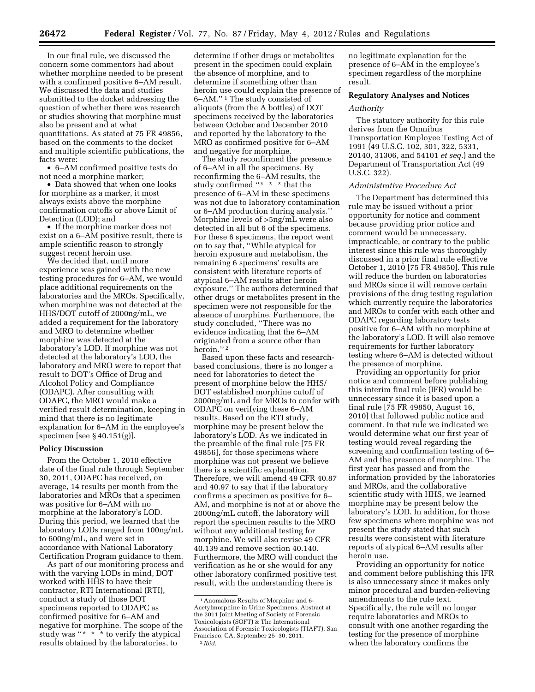In our final rule, we discussed the concern some commentors had about whether morphine needed to be present with a confirmed positive 6–AM result. We discussed the data and studies submitted to the docket addressing the question of whether there was research or studies showing that morphine must also be present and at what quantitations. As stated at 75 FR 49856, based on the comments to the docket and multiple scientific publications, the facts were:

• 6–AM confirmed positive tests do not need a morphine marker;

• Data showed that when one looks for morphine as a marker, it most always exists above the morphine confirmation cutoffs or above Limit of Detection (LOD); and

• If the morphine marker does not exist on a 6–AM positive result, there is ample scientific reason to strongly suggest recent heroin use.

We decided that, until more experience was gained with the new testing procedures for 6–AM, we would place additional requirements on the laboratories and the MROs. Specifically, when morphine was not detected at the HHS/DOT cutoff of 2000ng/mL, we added a requirement for the laboratory and MRO to determine whether morphine was detected at the laboratory's LOD. If morphine was not detected at the laboratory's LOD, the laboratory and MRO were to report that result to DOT's Office of Drug and Alcohol Policy and Compliance (ODAPC). After consulting with ODAPC, the MRO would make a verified result determination, keeping in mind that there is no legitimate explanation for 6–AM in the employee's specimen [see § 40.151(g)].

#### **Policy Discussion**

From the October 1, 2010 effective date of the final rule through September 30, 2011, ODAPC has received, on average, 14 results per month from the laboratories and MROs that a specimen was positive for 6–AM with no morphine at the laboratory's LOD. During this period, we learned that the laboratory LODs ranged from 100ng/mL to 600ng/mL, and were set in accordance with National Laboratory Certification Program guidance to them.

As part of our monitoring process and with the varying LODs in mind, DOT worked with HHS to have their contractor, RTI International (RTI), conduct a study of those DOT specimens reported to ODAPC as confirmed positive for 6–AM and negative for morphine. The scope of the study was "\* \* \* to verify the atypical results obtained by the laboratories, to

determine if other drugs or metabolites present in the specimen could explain the absence of morphine, and to determine if something other than heroin use could explain the presence of 6–AM.'' 1 The study consisted of aliquots (from the A bottles) of DOT specimens received by the laboratories between October and December 2010 and reported by the laboratory to the MRO as confirmed positive for 6–AM and negative for morphine.

The study reconfirmed the presence of 6–AM in all the specimens. By reconfirming the 6–AM results, the study confirmed "\* \* \* that the presence of 6–AM in these specimens was not due to laboratory contamination or 6–AM production during analysis.'' Morphine levels of >5ng/mL were also detected in all but 6 of the specimens. For these 6 specimens, the report went on to say that, ''While atypical for heroin exposure and metabolism, the remaining 6 specimens' results are consistent with literature reports of atypical 6–AM results after heroin exposure.'' The authors determined that other drugs or metabolites present in the specimen were not responsible for the absence of morphine. Furthermore, the study concluded, ''There was no evidence indicating that the 6–AM originated from a source other than heroin." $^{\rm 2}$ 

Based upon these facts and researchbased conclusions, there is no longer a need for laboratories to detect the present of morphine below the HHS/ DOT established morphine cutoff of 2000ng/mL and for MROs to confer with ODAPC on verifying these 6–AM results. Based on the RTI study, morphine may be present below the laboratory's LOD. As we indicated in the preamble of the final rule [75 FR 49856], for those specimens where morphine was not present we believe there is a scientific explanation. Therefore, we will amend 49 CFR 40.87 and 40.97 to say that if the laboratory confirms a specimen as positive for 6– AM, and morphine is not at or above the 2000ng/mL cutoff, the laboratory will report the specimen results to the MRO without any additional testing for morphine. We will also revise 49 CFR 40.139 and remove section 40.140. Furthermore, the MRO will conduct the verification as he or she would for any other laboratory confirmed positive test result, with the understanding there is

no legitimate explanation for the presence of 6–AM in the employee's specimen regardless of the morphine result.

# **Regulatory Analyses and Notices**

#### *Authority*

The statutory authority for this rule derives from the Omnibus Transportation Employee Testing Act of 1991 (49 U.S.C. 102, 301, 322, 5331, 20140, 31306, and 54101 *et seq.*) and the Department of Transportation Act (49 U.S.C. 322).

#### *Administrative Procedure Act*

The Department has determined this rule may be issued without a prior opportunity for notice and comment because providing prior notice and comment would be unnecessary, impracticable, or contrary to the public interest since this rule was thoroughly discussed in a prior final rule effective October 1, 2010 [75 FR 49850]. This rule will reduce the burden on laboratories and MROs since it will remove certain provisions of the drug testing regulation which currently require the laboratories and MROs to confer with each other and ODAPC regarding laboratory tests positive for 6–AM with no morphine at the laboratory's LOD. It will also remove requirements for further laboratory testing where 6–AM is detected without the presence of morphine.

Providing an opportunity for prior notice and comment before publishing this interim final rule (IFR) would be unnecessary since it is based upon a final rule [75 FR 49850, August 16, 2010] that followed public notice and comment. In that rule we indicated we would determine what our first year of testing would reveal regarding the screening and confirmation testing of 6– AM and the presence of morphine. The first year has passed and from the information provided by the laboratories and MROs, and the collaborative scientific study with HHS, we learned morphine may be present below the laboratory's LOD. In addition, for those few specimens where morphine was not present the study stated that such results were consistent with literature reports of atypical 6–AM results after heroin use.

Providing an opportunity for notice and comment before publishing this IFR is also unnecessary since it makes only minor procedural and burden-relieving amendments to the rule text. Specifically, the rule will no longer require laboratories and MROs to consult with one another regarding the testing for the presence of morphine when the laboratory confirms the

<sup>1</sup>Anomalous Results of Morphine and 6- Acetylmorphine in Urine Specimens, Abstract at the 2011 Joint Meeting of Society of Forensic Toxicologists (SOFT) & The International Association of Forensic Toxicologists (TIAFT), San Francisco, CA, September 25–30, 2011. 2 *Ibid.*